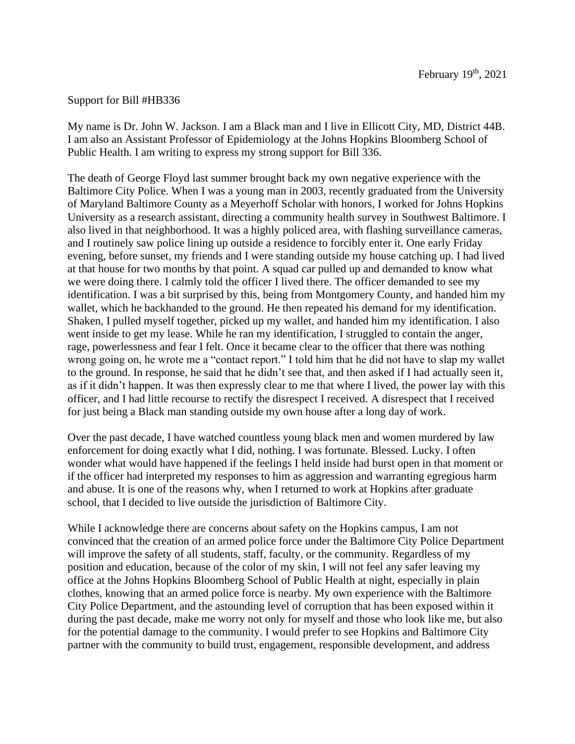## Support for Bill #HB336

My name is Dr. John W. Jackson. I am a Black man and I live in Ellicott City, MD, District 44B. I am also an Assistant Professor of Epidemiology at the Johns Hopkins Bloomberg School of Public Health. I am writing to express my strong support for Bill 336.

The death of George Floyd last summer brought back my own negative experience with the Baltimore City Police. When I was a young man in 2003, recently graduated from the University of Maryland Baltimore County as a Meyerhoff Scholar with honors, I worked for Johns Hopkins University as a research assistant, directing a community health survey in Southwest Baltimore. I also lived in that neighborhood. It was a highly policed area, with flashing surveillance cameras, and I routinely saw police lining up outside a residence to forcibly enter it. One early Friday evening, before sunset, my friends and I were standing outside my house catching up. I had lived at that house for two months by that point. A squad car pulled up and demanded to know what we were doing there. I calmly told the officer I lived there. The officer demanded to see my identification. I was a bit surprised by this, being from Montgomery County, and handed him my wallet, which he backhanded to the ground. He then repeated his demand for my identification. Shaken, I pulled myself together, picked up my wallet, and handed him my identification. I also went inside to get my lease. While he ran my identification, I struggled to contain the anger, rage, powerlessness and fear I felt. Once it became clear to the officer that there was nothing wrong going on, he wrote me a "contact report." I told him that he did not have to slap my wallet to the ground. In response, he said that he didn't see that, and then asked if I had actually seen it, as if it didn't happen. It was then expressly clear to me that where I lived, the power lay with this officer, and I had little recourse to rectify the disrespect I received. A disrespect that I received for just being a Black man standing outside my own house after a long day of work.

Over the past decade, I have watched countless young black men and women murdered by law enforcement for doing exactly what I did, nothing. I was fortunate. Blessed. Lucky. I often wonder what would have happened if the feelings I held inside had burst open in that moment or if the officer had interpreted my responses to him as aggression and warranting egregious harm and abuse. It is one of the reasons why, when I returned to work at Hopkins after graduate school, that I decided to live outside the jurisdiction of Baltimore City.

While I acknowledge there are concerns about safety on the Hopkins campus, I am not convinced that the creation of an armed police force under the Baltimore City Police Department will improve the safety of all students, staff, faculty, or the community. Regardless of my position and education, because of the color of my skin, I will not feel any safer leaving my office at the Johns Hopkins Bloomberg School of Public Health at night, especially in plain clothes, knowing that an armed police force is nearby. My own experience with the Baltimore City Police Department, and the astounding level of corruption that has been exposed within it during the past decade, make me worry not only for myself and those who look like me, but also for the potential damage to the community. I would prefer to see Hopkins and Baltimore City partner with the community to build trust, engagement, responsible development, and address